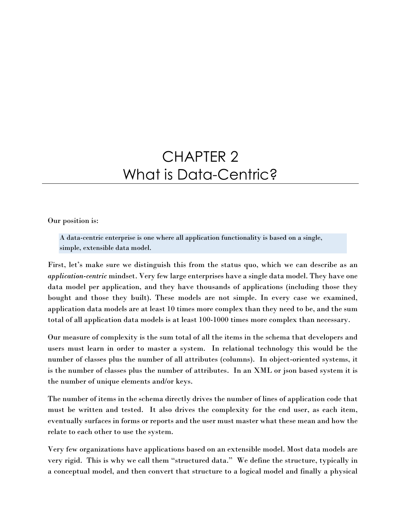# CHAPTER 2 What is Data-Centric?

Our position is:

A data-centric enterprise is one where all application functionality is based on a single, simple, extensible data model.

First, let's make sure we distinguish this from the status quo, which we can describe as an application-centric mindset. Very few large enterprises have a single data model. They have one data model per application, and they have thousands of applications (including those they bought and those they built). These models are not simple. In every case we examined, application data models are at least 10 times more complex than they need to be, and the sum total of all application data models is at least 100-1000 times more complex than necessary.

Our measure of complexity is the sum total of all the items in the schema that developers and users must learn in order to master a system. In relational technology this would be the number of classes plus the number of all attributes (columns). In object-oriented systems, it is the number of classes plus the number of attributes. In an XML or json based system it is the number of unique elements and/or keys.

The number of items in the schema directly drives the number of lines of application code that must be written and tested. It also drives the complexity for the end user, as each item, eventually surfaces in forms or reports and the user must master what these mean and how the relate to each other to use the system.

Very few organizations have applications based on an extensible model. Most data models are very rigid. This is why we call them "structured data." We define the structure, typically in a conceptual model, and then convert that structure to a logical model and finally a physical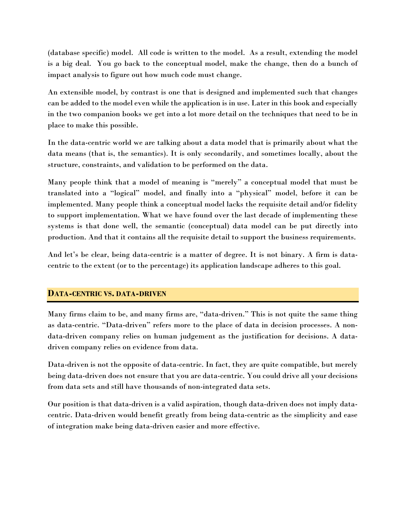(database specific) model. All code is written to the model. As a result, extending the model is a big deal. You go back to the conceptual model, make the change, then do a bunch of impact analysis to figure out how much code must change.

An extensible model, by contrast is one that is designed and implemented such that changes can be added to the model even while the application is in use. Later in this book and especially in the two companion books we get into a lot more detail on the techniques that need to be in place to make this possible.

In the data-centric world we are talking about a data model that is primarily about what the data means (that is, the semantics). It is only secondarily, and sometimes locally, about the structure, constraints, and validation to be performed on the data.

Many people think that a model of meaning is "merely" a conceptual model that must be translated into a "logical" model, and finally into a "physical" model, before it can be implemented. Many people think a conceptual model lacks the requisite detail and/or fidelity to support implementation. What we have found over the last decade of implementing these systems is that done well, the semantic (conceptual) data model can be put directly into production. And that it contains all the requisite detail to support the business requirements.

And let's be clear, being data-centric is a matter of degree. It is not binary. A firm is datacentric to the extent (or to the percentage) its application landscape adheres to this goal.

# DATA-CENTRIC VS. DATA-DRIVEN

Many firms claim to be, and many firms are, "data-driven." This is not quite the same thing as data-centric. "Data-driven" refers more to the place of data in decision processes. A nondata-driven company relies on human judgement as the justification for decisions. A datadriven company relies on evidence from data.

Data-driven is not the opposite of data-centric. In fact, they are quite compatible, but merely being data-driven does not ensure that you are data-centric. You could drive all your decisions from data sets and still have thousands of non-integrated data sets.

Our position is that data-driven is a valid aspiration, though data-driven does not imply datacentric. Data-driven would benefit greatly from being data-centric as the simplicity and ease of integration make being data-driven easier and more effective.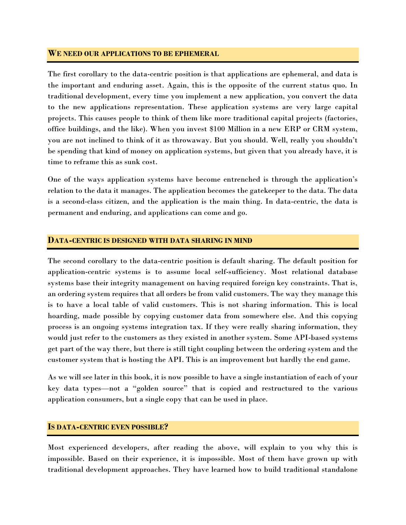#### WE NEED OUR APPLICATIONS TO BE EPHEMERAL

The first corollary to the data-centric position is that applications are ephemeral, and data is the important and enduring asset. Again, this is the opposite of the current status quo. In traditional development, every time you implement a new application, you convert the data to the new applications representation. These application systems are very large capital projects. This causes people to think of them like more traditional capital projects (factories, office buildings, and the like). When you invest \$100 Million in a new ERP or CRM system, you are not inclined to think of it as throwaway. But you should. Well, really you shouldn't be spending that kind of money on application systems, but given that you already have, it is time to reframe this as sunk cost.

One of the ways application systems have become entrenched is through the application's relation to the data it manages. The application becomes the gatekeeper to the data. The data is a second-class citizen, and the application is the main thing. In data-centric, the data is permanent and enduring, and applications can come and go.

#### DATA-CENTRIC IS DESIGNED WITH DATA SHARING IN MIND

The second corollary to the data-centric position is default sharing. The default position for application-centric systems is to assume local self-sufficiency. Most relational database systems base their integrity management on having required foreign key constraints. That is, an ordering system requires that all orders be from valid customers. The way they manage this is to have a local table of valid customers. This is not sharing information. This is local hoarding, made possible by copying customer data from somewhere else. And this copying process is an ongoing systems integration tax. If they were really sharing information, they would just refer to the customers as they existed in another system. Some API-based systems get part of the way there, but there is still tight coupling between the ordering system and the customer system that is hosting the API. This is an improvement but hardly the end game.

As we will see later in this book, it is now possible to have a single instantiation of each of your key data types—not a "golden source" that is copied and restructured to the various application consumers, but a single copy that can be used in place.

#### IS DATA-CENTRIC EVEN POSSIBLE?

Most experienced developers, after reading the above, will explain to you why this is impossible. Based on their experience, it is impossible. Most of them have grown up with traditional development approaches. They have learned how to build traditional standalone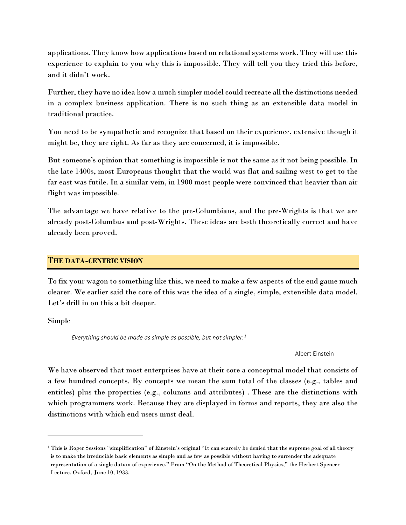applications. They know how applications based on relational systems work. They will use this experience to explain to you why this is impossible. They will tell you they tried this before, and it didn't work.

Further, they have no idea how a much simpler model could recreate all the distinctions needed in a complex business application. There is no such thing as an extensible data model in traditional practice.

You need to be sympathetic and recognize that based on their experience, extensive though it might be, they are right. As far as they are concerned, it is impossible.

But someone's opinion that something is impossible is not the same as it not being possible. In the late 1400s, most Europeans thought that the world was flat and sailing west to get to the far east was futile. In a similar vein, in 1900 most people were convinced that heavier than air flight was impossible.

The advantage we have relative to the pre-Columbians, and the pre-Wrights is that we are already post-Columbus and post-Wrights. These ideas are both theoretically correct and have already been proved.

## THE DATA-CENTRIC VISION

To fix your wagon to something like this, we need to make a few aspects of the end game much clearer. We earlier said the core of this was the idea of a single, simple, extensible data model. Let's drill in on this a bit deeper.

Simple

 $\overline{a}$ 

Everything should be made as simple as possible, but not simpler.<sup>1</sup>

Albert Einstein

We have observed that most enterprises have at their core a conceptual model that consists of a few hundred concepts. By concepts we mean the sum total of the classes (e.g., tables and entitles) plus the properties (e.g., columns and attributes) . These are the distinctions with which programmers work. Because they are displayed in forms and reports, they are also the distinctions with which end users must deal.

<sup>&</sup>lt;sup>1</sup> This is Roger Sessions "simplification" of Einstein's original "It can scarcely be denied that the supreme goal of all theory is to make the irreducible basic elements as simple and as few as possible without having to surrender the adequate representation of a single datum of experience." From "On the Method of Theoretical Physics," the Herbert Spencer Lecture, Oxford, June 10, 1933.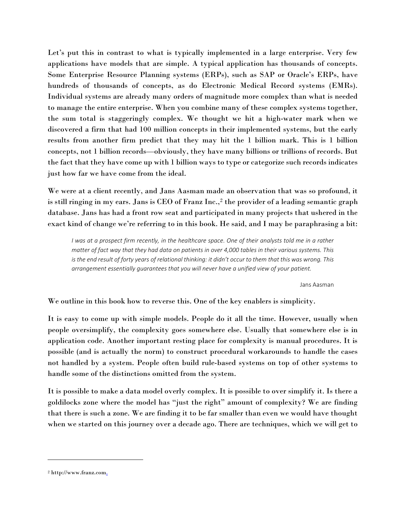Let's put this in contrast to what is typically implemented in a large enterprise. Very few applications have models that are simple. A typical application has thousands of concepts. Some Enterprise Resource Planning systems (ERPs), such as SAP or Oracle's ERPs, have hundreds of thousands of concepts, as do Electronic Medical Record systems (EMRs). Individual systems are already many orders of magnitude more complex than what is needed to manage the entire enterprise. When you combine many of these complex systems together, the sum total is staggeringly complex. We thought we hit a high-water mark when we discovered a firm that had 100 million concepts in their implemented systems, but the early results from another firm predict that they may hit the 1 billion mark. This is 1 billion concepts, not 1 billion records—obviously, they have many billions or trillions of records. But the fact that they have come up with 1 billion ways to type or categorize such records indicates just how far we have come from the ideal.

We were at a client recently, and Jans Aasman made an observation that was so profound, it is still ringing in my ears. Jans is CEO of Franz Inc., $2$  the provider of a leading semantic graph database. Jans has had a front row seat and participated in many projects that ushered in the exact kind of change we're referring to in this book. He said, and I may be paraphrasing a bit:

I was at a prospect firm recently, in the healthcare space. One of their analysts told me in a rather matter of fact way that they had data on patients in over 4,000 tables in their various systems. This is the end result of forty years of relational thinking: it didn't occur to them that this was wrong. This arrangement essentially guarantees that you will never have a unified view of your patient.

Jans Aasman

We outline in this book how to reverse this. One of the key enablers is simplicity.

It is easy to come up with simple models. People do it all the time. However, usually when people oversimplify, the complexity goes somewhere else. Usually that somewhere else is in application code. Another important resting place for complexity is manual procedures. It is possible (and is actually the norm) to construct procedural workarounds to handle the cases not handled by a system. People often build rule-based systems on top of other systems to handle some of the distinctions omitted from the system.

It is possible to make a data model overly complex. It is possible to over simplify it. Is there a goldilocks zone where the model has "just the right" amount of complexity? We are finding that there is such a zone. We are finding it to be far smaller than even we would have thought when we started on this journey over a decade ago. There are techniques, which we will get to

 $\overline{a}$ 

<sup>&</sup>lt;sup>2</sup> http://www.franz.com.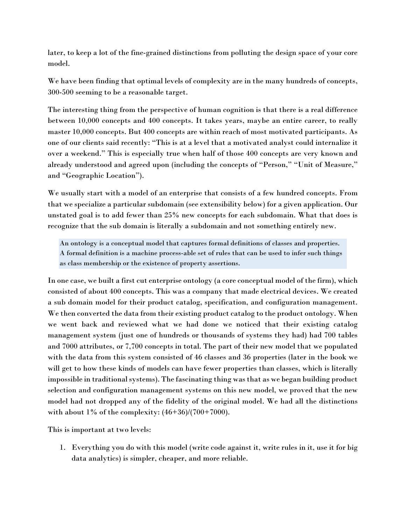later, to keep a lot of the fine-grained distinctions from polluting the design space of your core model.

We have been finding that optimal levels of complexity are in the many hundreds of concepts, 300-500 seeming to be a reasonable target.

The interesting thing from the perspective of human cognition is that there is a real difference between 10,000 concepts and 400 concepts. It takes years, maybe an entire career, to really master 10,000 concepts. But 400 concepts are within reach of most motivated participants. As one of our clients said recently: "This is at a level that a motivated analyst could internalize it over a weekend." This is especially true when half of those 400 concepts are very known and already understood and agreed upon (including the concepts of "Person," "Unit of Measure," and "Geographic Location").

We usually start with a model of an enterprise that consists of a few hundred concepts. From that we specialize a particular subdomain (see extensibility below) for a given application. Our unstated goal is to add fewer than 25% new concepts for each subdomain. What that does is recognize that the sub domain is literally a subdomain and not something entirely new.

An ontology is a conceptual model that captures formal definitions of classes and properties. A formal definition is a machine process-able set of rules that can be used to infer such things as class membership or the existence of property assertions.

In one case, we built a first cut enterprise ontology (a core conceptual model of the firm), which consisted of about 400 concepts. This was a company that made electrical devices. We created a sub domain model for their product catalog, specification, and configuration management. We then converted the data from their existing product catalog to the product ontology. When we went back and reviewed what we had done we noticed that their existing catalog management system (just one of hundreds or thousands of systems they had) had 700 tables and 7000 attributes, or 7,700 concepts in total. The part of their new model that we populated with the data from this system consisted of 46 classes and 36 properties (later in the book we will get to how these kinds of models can have fewer properties than classes, which is literally impossible in traditional systems). The fascinating thing was that as we began building product selection and configuration management systems on this new model, we proved that the new model had not dropped any of the fidelity of the original model. We had all the distinctions with about 1% of the complexity:  $(46+36)/(700+7000)$ .

This is important at two levels:

1. Everything you do with this model (write code against it, write rules in it, use it for big data analytics) is simpler, cheaper, and more reliable.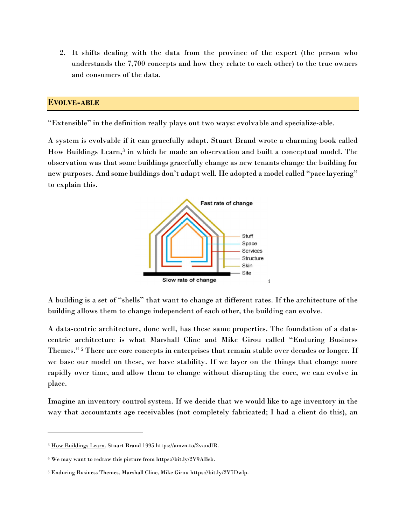2. It shifts dealing with the data from the province of the expert (the person who understands the 7,700 concepts and how they relate to each other) to the true owners and consumers of the data.

## EVOLVE-ABLE

"Extensible" in the definition really plays out two ways: evolvable and specialize-able.

A system is evolvable if it can gracefully adapt. Stuart Brand wrote a charming book called How Buildings Learn,<sup>3</sup> in which he made an observation and built a conceptual model. The observation was that some buildings gracefully change as new tenants change the building for new purposes. And some buildings don't adapt well. He adopted a model called "pace layering" to explain this.



A building is a set of "shells" that want to change at different rates. If the architecture of the building allows them to change independent of each other, the building can evolve.

A data-centric architecture, done well, has these same properties. The foundation of a datacentric architecture is what Marshall Cline and Mike Girou called "Enduring Business Themes." 5 There are core concepts in enterprises that remain stable over decades or longer. If we base our model on these, we have stability. If we layer on the things that change more rapidly over time, and allow them to change without disrupting the core, we can evolve in place.

Imagine an inventory control system. If we decide that we would like to age inventory in the way that accountants age receivables (not completely fabricated; I had a client do this), an

 $\overline{a}$ 

<sup>3</sup> How Buildings Learn, Stuart Brand 1995 https://amzn.to/2vaudlR.

<sup>4</sup> We may want to redraw this picture from https://bit.ly/2V9ABsb.

<sup>5</sup> Enduring Business Themes, Marshall Cline, Mike Girou https://bit.ly/2V7Dwlp.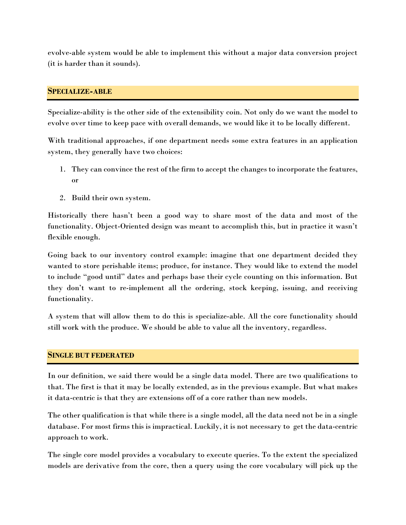evolve-able system would be able to implement this without a major data conversion project (it is harder than it sounds).

## SPECIALIZE-ABLE

Specialize-ability is the other side of the extensibility coin. Not only do we want the model to evolve over time to keep pace with overall demands, we would like it to be locally different.

With traditional approaches, if one department needs some extra features in an application system, they generally have two choices:

- 1. They can convince the rest of the firm to accept the changes to incorporate the features, or
- 2. Build their own system.

Historically there hasn't been a good way to share most of the data and most of the functionality. Object-Oriented design was meant to accomplish this, but in practice it wasn't flexible enough.

Going back to our inventory control example: imagine that one department decided they wanted to store perishable items; produce, for instance. They would like to extend the model to include "good until" dates and perhaps base their cycle counting on this information. But they don't want to re-implement all the ordering, stock keeping, issuing, and receiving functionality.

A system that will allow them to do this is specialize-able. All the core functionality should still work with the produce. We should be able to value all the inventory, regardless.

### SINGLE BUT FEDERATED

In our definition, we said there would be a single data model. There are two qualifications to that. The first is that it may be locally extended, as in the previous example. But what makes it data-centric is that they are extensions off of a core rather than new models.

The other qualification is that while there is a single model, all the data need not be in a single database. For most firms this is impractical. Luckily, it is not necessary to get the data-centric approach to work.

The single core model provides a vocabulary to execute queries. To the extent the specialized models are derivative from the core, then a query using the core vocabulary will pick up the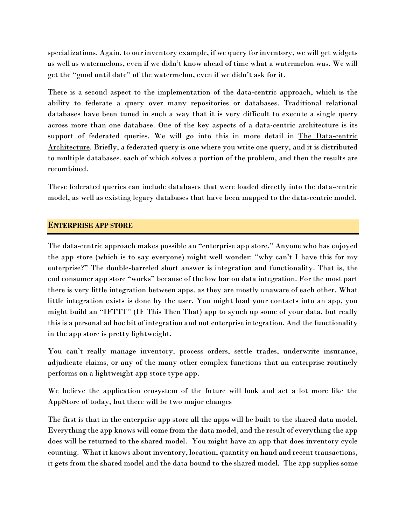specializations. Again, to our inventory example, if we query for inventory, we will get widgets as well as watermelons, even if we didn't know ahead of time what a watermelon was. We will get the "good until date" of the watermelon, even if we didn't ask for it.

There is a second aspect to the implementation of the data-centric approach, which is the ability to federate a query over many repositories or databases. Traditional relational databases have been tuned in such a way that it is very difficult to execute a single query across more than one database. One of the key aspects of a data-centric architecture is its support of federated queries. We will go into this in more detail in The Data-centric Architecture. Briefly, a federated query is one where you write one query, and it is distributed to multiple databases, each of which solves a portion of the problem, and then the results are recombined.

These federated queries can include databases that were loaded directly into the data-centric model, as well as existing legacy databases that have been mapped to the data-centric model.

# ENTERPRISE APP STORE

The data-centric approach makes possible an "enterprise app store." Anyone who has enjoyed the app store (which is to say everyone) might well wonder: "why can't I have this for my enterprise?" The double-barreled short answer is integration and functionality. That is, the end consumer app store "works" because of the low bar on data integration. For the most part there is very little integration between apps, as they are mostly unaware of each other. What little integration exists is done by the user. You might load your contacts into an app, you might build an "IFTTT" (IF This Then That) app to synch up some of your data, but really this is a personal ad hoc bit of integration and not enterprise integration. And the functionality in the app store is pretty lightweight.

You can't really manage inventory, process orders, settle trades, underwrite insurance, adjudicate claims, or any of the many other complex functions that an enterprise routinely performs on a lightweight app store type app.

We believe the application ecosystem of the future will look and act a lot more like the AppStore of today, but there will be two major changes

The first is that in the enterprise app store all the apps will be built to the shared data model. Everything the app knows will come from the data model, and the result of everything the app does will be returned to the shared model. You might have an app that does inventory cycle counting. What it knows about inventory, location, quantity on hand and recent transactions, it gets from the shared model and the data bound to the shared model. The app supplies some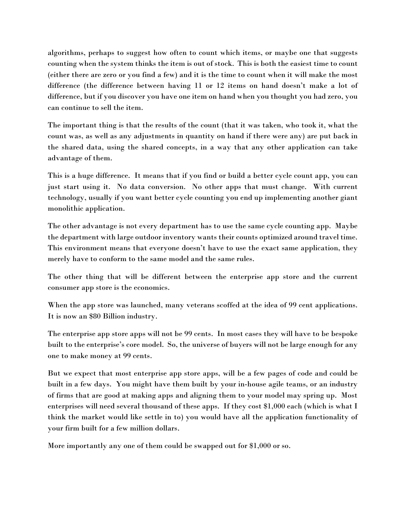algorithms, perhaps to suggest how often to count which items, or maybe one that suggests counting when the system thinks the item is out of stock. This is both the easiest time to count (either there are zero or you find a few) and it is the time to count when it will make the most difference (the difference between having 11 or 12 items on hand doesn't make a lot of difference, but if you discover you have one item on hand when you thought you had zero, you can continue to sell the item.

The important thing is that the results of the count (that it was taken, who took it, what the count was, as well as any adjustments in quantity on hand if there were any) are put back in the shared data, using the shared concepts, in a way that any other application can take advantage of them.

This is a huge difference. It means that if you find or build a better cycle count app, you can just start using it. No data conversion. No other apps that must change. With current technology, usually if you want better cycle counting you end up implementing another giant monolithic application.

The other advantage is not every department has to use the same cycle counting app. Maybe the department with large outdoor inventory wants their counts optimized around travel time. This environment means that everyone doesn't have to use the exact same application, they merely have to conform to the same model and the same rules.

The other thing that will be different between the enterprise app store and the current consumer app store is the economics.

When the app store was launched, many veterans scoffed at the idea of 99 cent applications. It is now an \$80 Billion industry.

The enterprise app store apps will not be 99 cents. In most cases they will have to be bespoke built to the enterprise's core model. So, the universe of buyers will not be large enough for any one to make money at 99 cents.

But we expect that most enterprise app store apps, will be a few pages of code and could be built in a few days. You might have them built by your in-house agile teams, or an industry of firms that are good at making apps and aligning them to your model may spring up. Most enterprises will need several thousand of these apps. If they cost \$1,000 each (which is what I think the market would like settle in to) you would have all the application functionality of your firm built for a few million dollars.

More importantly any one of them could be swapped out for \$1,000 or so.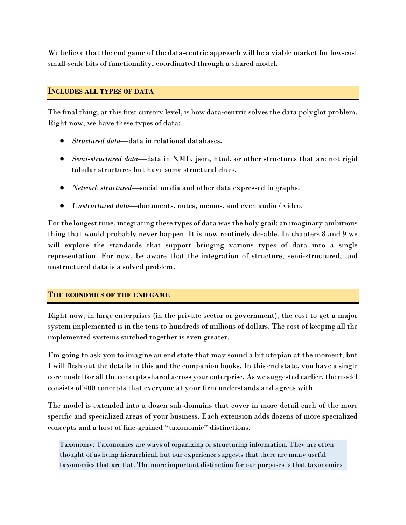We believe that the end game of the data-centric approach will be a viable market for low-cost small-scale bits of functionality, coordinated through a shared model.

#### INCLUDES ALL TYPES OF DATA

The final thing, at this first cursory level, is how data-centric solves the data polyglot problem. Right now, we have these types of data:

- *Structured data*—data in relational databases.
- Semi-structured data—data in XML, json, html, or other structures that are not rigid tabular structures but have some structural clues.
- Network structured—social media and other data expressed in graphs.
- Unstructured data—documents, notes, memos, and even audio / video.

For the longest time, integrating these types of data was the holy grail: an imaginary ambitious thing that would probably never happen. It is now routinely do-able. In chapters 8 and 9 we will explore the standards that support bringing various types of data into a single representation. For now, be aware that the integration of structure, semi-structured, and unstructured data is a solved problem.

# THE ECONOMICS OF THE END GAME

Right now, in large enterprises (in the private sector or government), the cost to get a major system implemented is in the tens to hundreds of millions of dollars. The cost of keeping all the implemented systems stitched together is even greater.

I'm going to ask you to imagine an end state that may sound a bit utopian at the moment, but I will flesh out the details in this and the companion books. In this end state, you have a single core model for all the concepts shared across your enterprise. As we suggested earlier, the model consists of 400 concepts that everyone at your firm understands and agrees with.

The model is extended into a dozen sub-domains that cover in more detail each of the more specific and specialized areas of your business. Each extension adds dozens of more specialized concepts and a host of fine-grained "taxonomic" distinctions.

Taxonomy: Taxonomies are ways of organizing or structuring information. They are often thought of as being hierarchical, but our experience suggests that there are many useful taxonomies that are flat. The more important distinction for our purposes is that taxonomies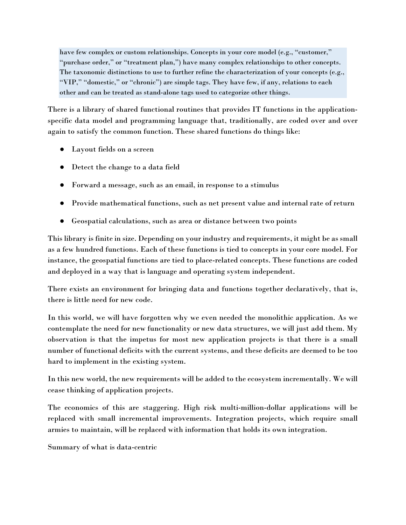have few complex or custom relationships. Concepts in your core model (e.g., "customer," "purchase order," or "treatment plan,") have many complex relationships to other concepts. The taxonomic distinctions to use to further refine the characterization of your concepts (e.g., "VIP," "domestic," or "chronic") are simple tags. They have few, if any, relations to each other and can be treated as stand-alone tags used to categorize other things.

There is a library of shared functional routines that provides IT functions in the applicationspecific data model and programming language that, traditionally, are coded over and over again to satisfy the common function. These shared functions do things like:

- Layout fields on a screen
- Detect the change to a data field
- Forward a message, such as an email, in response to a stimulus
- Provide mathematical functions, such as net present value and internal rate of return
- Geospatial calculations, such as area or distance between two points

This library is finite in size. Depending on your industry and requirements, it might be as small as a few hundred functions. Each of these functions is tied to concepts in your core model. For instance, the geospatial functions are tied to place-related concepts. These functions are coded and deployed in a way that is language and operating system independent.

There exists an environment for bringing data and functions together declaratively, that is, there is little need for new code.

In this world, we will have forgotten why we even needed the monolithic application. As we contemplate the need for new functionality or new data structures, we will just add them. My observation is that the impetus for most new application projects is that there is a small number of functional deficits with the current systems, and these deficits are deemed to be too hard to implement in the existing system.

In this new world, the new requirements will be added to the ecosystem incrementally. We will cease thinking of application projects.

The economics of this are staggering. High risk multi-million-dollar applications will be replaced with small incremental improvements. Integration projects, which require small armies to maintain, will be replaced with information that holds its own integration.

Summary of what is data-centric